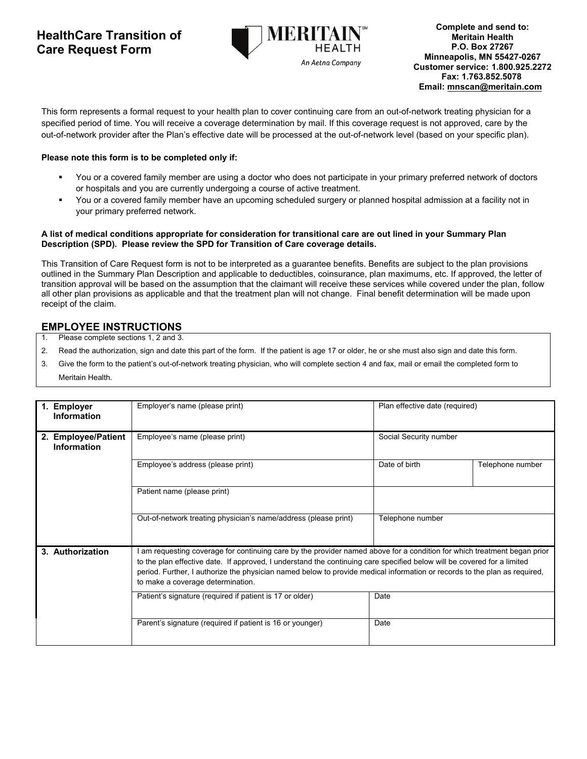## **HealthCare Transition of Care Request Form**



This form represents a formal request to your health plan to cover continuing care from an out-of-network treating physician for a specified period of time. You will receive a coverage determination by mail. If this coverage request is not approved, care by the out-of-network provider after the Plan's effective date will be processed at the out-of-network level (based on your specific plan).

## **Please note this form is to be completed only if:**

- You or a covered family member are using a doctor who does not participate in your primary preferred network of doctors or hospitals and you are currently undergoing a course of active treatment.
- You or a covered family member have an upcoming scheduled surgery or planned hospital admission at a facility not in your primary preferred network.

## **A list of medical conditions appropriate for consideration for transitional care are out lined in your Summary Plan Description (SPD). Please review the SPD for Transition of Care coverage details.**

This Transition of Care Request form is not to be interpreted as a guarantee benefits. Benefits are subject to the plan provisions outlined in the Summary Plan Description and applicable to deductibles, coinsurance, plan maximums, etc. If approved, the letter of transition approval will be based on the assumption that the claimant will receive these services while covered under the plan, follow all other plan provisions as applicable and that the treatment plan will not change. Final benefit determination will be made upon receipt of the claim.

## **EMPLOYEE INSTRUCTIONS**

- 1. Please complete sections 1, 2 and 3.
- 2. Read the authorization, sign and date this part of the form. If the patient is age 17 or older, he or she must also sign and date this form.
- 3. Give the form to the patient's out-of-network treating physician, who will complete section 4 and fax, mail or email the completed form to Meritain Health.

| 1. Employer<br><b>Information</b>         | Employer's name (please print)                                                                                                                                                                                                                                                                                                                                                                                      | Plan effective date (required) |                  |
|-------------------------------------------|---------------------------------------------------------------------------------------------------------------------------------------------------------------------------------------------------------------------------------------------------------------------------------------------------------------------------------------------------------------------------------------------------------------------|--------------------------------|------------------|
| 2. Employee/Patient<br><b>Information</b> | Employee's name (please print)                                                                                                                                                                                                                                                                                                                                                                                      | Social Security number         |                  |
|                                           | Employee's address (please print)                                                                                                                                                                                                                                                                                                                                                                                   | Date of birth                  | Telephone number |
|                                           | Patient name (please print)                                                                                                                                                                                                                                                                                                                                                                                         |                                |                  |
|                                           | Out-of-network treating physician's name/address (please print)                                                                                                                                                                                                                                                                                                                                                     | Telephone number               |                  |
| 3. Authorization                          | am requesting coverage for continuing care by the provider named above for a condition for which treatment began prior<br>to the plan effective date. If approved, I understand the continuing care specified below will be covered for a limited<br>period. Further, I authorize the physician named below to provide medical information or records to the plan as required,<br>to make a coverage determination. |                                |                  |
|                                           | Patient's signature (required if patient is 17 or older)                                                                                                                                                                                                                                                                                                                                                            | Date                           |                  |
|                                           | Parent's signature (required if patient is 16 or younger)                                                                                                                                                                                                                                                                                                                                                           | Date                           |                  |